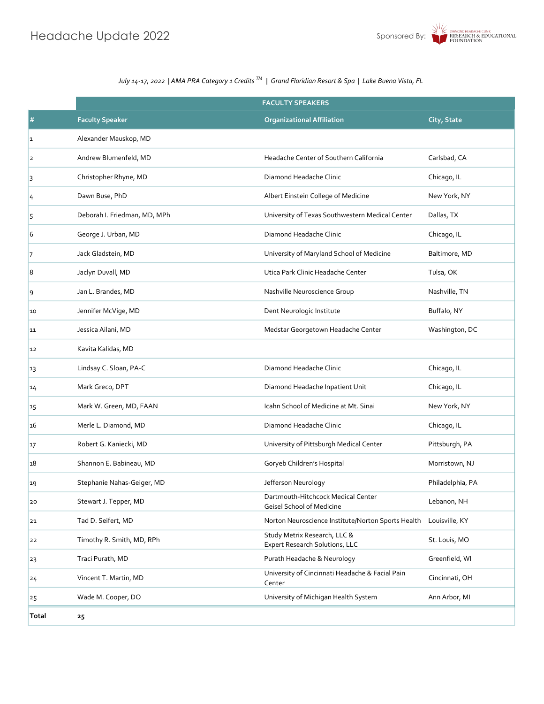|               |                              | <b>FACULTY SPEAKERS</b>                                         |                  |  |  |  |
|---------------|------------------------------|-----------------------------------------------------------------|------------------|--|--|--|
| #             | <b>Faculty Speaker</b>       | <b>Organizational Affiliation</b>                               | City, State      |  |  |  |
| 1             | Alexander Mauskop, MD        |                                                                 |                  |  |  |  |
| 2             | Andrew Blumenfeld, MD        | Headache Center of Southern California                          | Carlsbad, CA     |  |  |  |
| 3             | Christopher Rhyne, MD        | Diamond Headache Clinic                                         | Chicago, IL      |  |  |  |
| $\frac{1}{4}$ | Dawn Buse, PhD               | Albert Einstein College of Medicine                             | New York, NY     |  |  |  |
| 5             | Deborah I. Friedman, MD, MPh | University of Texas Southwestern Medical Center                 | Dallas, TX       |  |  |  |
| 6             | George J. Urban, MD          | Diamond Headache Clinic                                         | Chicago, IL      |  |  |  |
| 7             | Jack Gladstein, MD           | University of Maryland School of Medicine                       | Baltimore, MD    |  |  |  |
| 8             | Jaclyn Duvall, MD            | Utica Park Clinic Headache Center                               | Tulsa, OK        |  |  |  |
| 9             | Jan L. Brandes, MD           | Nashville Neuroscience Group                                    | Nashville, TN    |  |  |  |
| 10            | Jennifer McVige, MD          | Dent Neurologic Institute                                       | Buffalo, NY      |  |  |  |
| 11            | Jessica Ailani, MD           | Medstar Georgetown Headache Center                              | Washington, DC   |  |  |  |
| 12            | Kavita Kalidas, MD           |                                                                 |                  |  |  |  |
| 13            | Lindsay C. Sloan, PA-C       | Diamond Headache Clinic                                         | Chicago, IL      |  |  |  |
| 14            | Mark Greco, DPT              | Diamond Headache Inpatient Unit                                 | Chicago, IL      |  |  |  |
| 15            | Mark W. Green, MD, FAAN      | Icahn School of Medicine at Mt. Sinai                           | New York, NY     |  |  |  |
| 16            | Merle L. Diamond, MD         | Diamond Headache Clinic                                         | Chicago, IL      |  |  |  |
| 17            | Robert G. Kaniecki, MD       | University of Pittsburgh Medical Center                         | Pittsburgh, PA   |  |  |  |
| 18            | Shannon E. Babineau, MD      | Goryeb Children's Hospital                                      | Morristown, NJ   |  |  |  |
| 19            | Stephanie Nahas-Geiger, MD   | Jefferson Neurology                                             | Philadelphia, PA |  |  |  |
| 20            | Stewart J. Tepper, MD        | Dartmouth-Hitchcock Medical Center<br>Geisel School of Medicine | Lebanon, NH      |  |  |  |
| 21            | Tad D. Seifert, MD           | Norton Neuroscience Institute/Norton Sports Health              | Louisville, KY   |  |  |  |
| 22            | Timothy R. Smith, MD, RPh    | Study Metrix Research, LLC &<br>Expert Research Solutions, LLC  | St. Louis, MO    |  |  |  |
| 23            | Traci Purath, MD             | Purath Headache & Neurology                                     | Greenfield, WI   |  |  |  |
| 24            | Vincent T. Martin, MD        | University of Cincinnati Headache & Facial Pain<br>Center       | Cincinnati, OH   |  |  |  |
| 25            | Wade M. Cooper, DO           | University of Michigan Health System                            | Ann Arbor, MI    |  |  |  |
| Total         | 25                           |                                                                 |                  |  |  |  |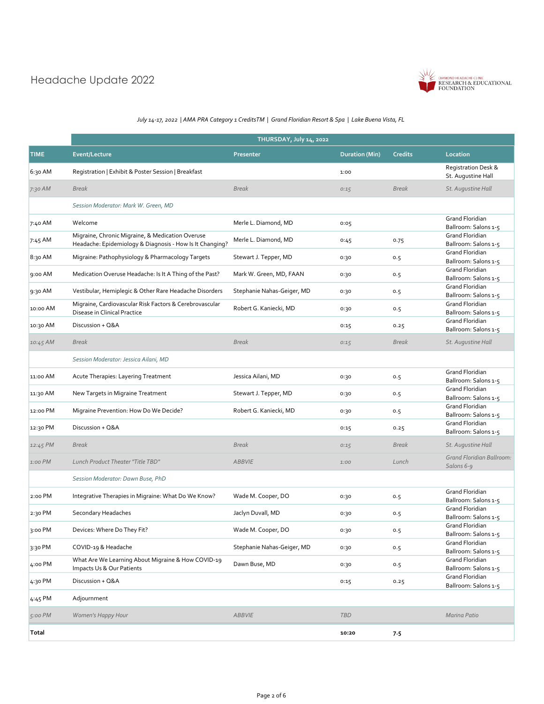# Headache Update 2022



|             | THURSDAY, July 14, 2022                                                                                      |                            |                       |                |                                                |  |
|-------------|--------------------------------------------------------------------------------------------------------------|----------------------------|-----------------------|----------------|------------------------------------------------|--|
| <b>TIME</b> | Event/Lecture                                                                                                | Presenter                  | <b>Duration (Min)</b> | <b>Credits</b> | Location                                       |  |
| 6:30 AM     | Registration   Exhibit & Poster Session   Breakfast                                                          |                            | 1:00                  |                | Registration Desk &<br>St. Augustine Hall      |  |
| 7:30 AM     | <b>Break</b>                                                                                                 | <b>Break</b>               | 0:15                  | <b>Break</b>   | St. Augustine Hall                             |  |
|             | Session Moderator: Mark W. Green, MD                                                                         |                            |                       |                |                                                |  |
| 7:40 AM     | Welcome                                                                                                      | Merle L. Diamond, MD       | 0:05                  |                | <b>Grand Floridian</b><br>Ballroom: Salons 1-5 |  |
| 7:45 AM     | Migraine, Chronic Migraine, & Medication Overuse<br>Headache: Epidemiology & Diagnosis - How Is It Changing? | Merle L. Diamond, MD       | 0:45                  | 0.75           | <b>Grand Floridian</b><br>Ballroom: Salons 1-5 |  |
| 8:30 AM     | Migraine: Pathophysiology & Pharmacology Targets                                                             | Stewart J. Tepper, MD      | 0:30                  | 0.5            | <b>Grand Floridian</b><br>Ballroom: Salons 1-5 |  |
| 9:00 AM     | Medication Overuse Headache: Is It A Thing of the Past?                                                      | Mark W. Green, MD, FAAN    | 0:30                  | 0.5            | <b>Grand Floridian</b><br>Ballroom: Salons 1-5 |  |
| 9:30 AM     | Vestibular, Hemiplegic & Other Rare Headache Disorders                                                       | Stephanie Nahas-Geiger, MD | 0:30                  | 0.5            | <b>Grand Floridian</b><br>Ballroom: Salons 1-5 |  |
| 10:00 AM    | Migraine, Cardiovascular Risk Factors & Cerebrovascular<br>Disease in Clinical Practice                      | Robert G. Kaniecki, MD     | 0:30                  | 0.5            | <b>Grand Floridian</b><br>Ballroom: Salons 1-5 |  |
| 10:30 AM    | Discussion + Q&A                                                                                             |                            | 0:15                  | 0.25           | <b>Grand Floridian</b><br>Ballroom: Salons 1-5 |  |
| 10:45 AM    | Break                                                                                                        | <b>Break</b>               | 0:15                  | Break          | St. Augustine Hall                             |  |
|             | Session Moderator: Jessica Ailani, MD                                                                        |                            |                       |                |                                                |  |
| 11:00 AM    | Acute Therapies: Layering Treatment                                                                          | Jessica Ailani, MD         | 0:30                  | 0.5            | <b>Grand Floridian</b><br>Ballroom: Salons 1-5 |  |
| 11:30 AM    | New Targets in Migraine Treatment                                                                            | Stewart J. Tepper, MD      | 0:30                  | 0.5            | <b>Grand Floridian</b><br>Ballroom: Salons 1-5 |  |
| 12:00 PM    | Migraine Prevention: How Do We Decide?                                                                       | Robert G. Kaniecki, MD     | 0:30                  | 0.5            | <b>Grand Floridian</b><br>Ballroom: Salons 1-5 |  |
| 12:30 PM    | Discussion + Q&A                                                                                             |                            | 0:15                  | 0.25           | <b>Grand Floridian</b><br>Ballroom: Salons 1-5 |  |
| 12:45 PM    | <b>Break</b>                                                                                                 | <b>Break</b>               | 0:15                  | <b>Break</b>   | St. Augustine Hall                             |  |
| $1:00$ PM   | Lunch Product Theater "Title TBD"                                                                            | <b>ABBVIE</b>              | 1:00                  | Lunch          | Grand Floridian Ballroom:<br>Salons 6-9        |  |
|             | Session Moderator: Dawn Buse, PhD                                                                            |                            |                       |                |                                                |  |
| 2:00 PM     | Integrative Therapies in Migraine: What Do We Know?                                                          | Wade M. Cooper, DO         | 0:30                  | 0.5            | Grand Floridian<br>Ballroom: Salons 1-5        |  |
| 2:30 PM     | Secondary Headaches                                                                                          | Jaclyn Duvall, MD          | 0:30                  | 0.5            | <b>Grand Floridian</b><br>Ballroom: Salons 1-5 |  |
| 3:00 PM     | Devices: Where Do They Fit?                                                                                  | Wade M. Cooper, DO         | 0:30                  | 0.5            | <b>Grand Floridian</b><br>Ballroom: Salons 1-5 |  |
| 3:30 PM     | COVID-19 & Headache                                                                                          | Stephanie Nahas-Geiger, MD | 0:30                  | 0.5            | <b>Grand Floridian</b><br>Ballroom: Salons 1-5 |  |
| 4:00 PM     | What Are We Learning About Migraine & How COVID-19<br>Impacts Us & Our Patients                              | Dawn Buse, MD              | 0:30                  | 0.5            | <b>Grand Floridian</b><br>Ballroom: Salons 1-5 |  |
| 4:30 PM     | Discussion + Q&A                                                                                             |                            | 0:15                  | 0.25           | <b>Grand Floridian</b><br>Ballroom: Salons 1-5 |  |
| 4:45 PM     | Adjournment                                                                                                  |                            |                       |                |                                                |  |
| 5:00 PM     | Women's Happy Hour                                                                                           | ABBVIE                     | TBD                   |                | Marina Patio                                   |  |
| Total       |                                                                                                              |                            | 10:20                 | 7.5            |                                                |  |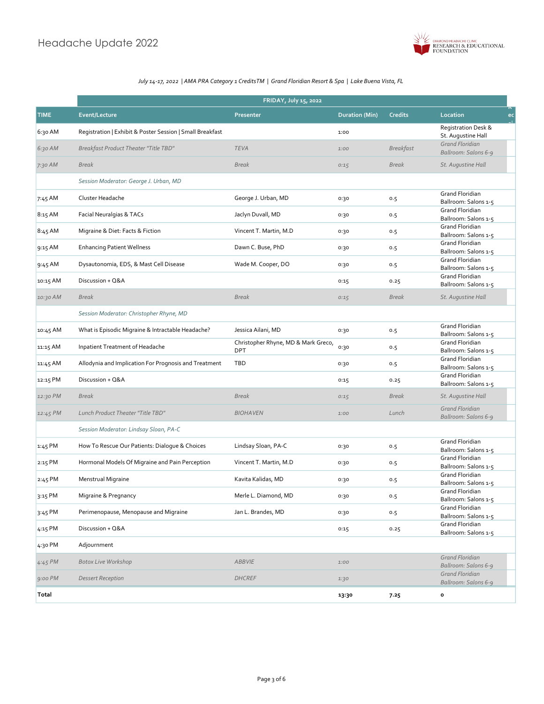

|             | <b>FRIDAY, July 15, 2022</b>                              |                                                   |                       |                  |                                                      |  |
|-------------|-----------------------------------------------------------|---------------------------------------------------|-----------------------|------------------|------------------------------------------------------|--|
| <b>TIME</b> | <b>Event/Lecture</b>                                      | Presenter                                         | <b>Duration (Min)</b> | <b>Credits</b>   | Location<br>ec                                       |  |
| 6:30 AM     | Registration   Exhibit & Poster Session   Small Breakfast |                                                   | 1:00                  |                  | <b>Registration Desk &amp;</b><br>St. Augustine Hall |  |
| 6:30 AM     | Breakfast Product Theater "Title TBD"                     | <b>TEVA</b>                                       | 1:00                  | <b>Breakfast</b> | Grand Floridian<br>Ballroom: Salons 6-9              |  |
| 7:30 AM     | <b>Break</b>                                              | <b>Break</b>                                      | 0:15                  | <b>Break</b>     | St. Augustine Hall                                   |  |
|             | Session Moderator: George J. Urban, MD                    |                                                   |                       |                  |                                                      |  |
| 7:45 AM     | Cluster Headache                                          | George J. Urban, MD                               | 0:30                  | 0.5              | Grand Floridian<br>Ballroom: Salons 1-5              |  |
| 8:15 AM     | Facial Neuralgias & TACs                                  | Jaclyn Duvall, MD                                 | 0:30                  | 0.5              | <b>Grand Floridian</b><br>Ballroom: Salons 1-5       |  |
| 8:45 AM     | Migraine & Diet: Facts & Fiction                          | Vincent T. Martin, M.D                            | 0:30                  | 0.5              | Grand Floridian<br>Ballroom: Salons 1-5              |  |
| 9:15 AM     | <b>Enhancing Patient Wellness</b>                         | Dawn C. Buse, PhD                                 | 0:30                  | 0.5              | Grand Floridian<br>Ballroom: Salons 1-5              |  |
| 9:45 AM     | Dysautonomia, EDS, & Mast Cell Disease                    | Wade M. Cooper, DO                                | 0:30                  | 0.5              | Grand Floridian<br>Ballroom: Salons 1-5              |  |
| 10:15 AM    | Discussion + Q&A                                          |                                                   | 0:15                  | 0.25             | Grand Floridian<br>Ballroom: Salons 1-5              |  |
| 10:30 AM    | <b>Break</b>                                              | <b>Break</b>                                      | 0:15                  | <b>Break</b>     | St. Augustine Hall                                   |  |
|             | Session Moderator: Christopher Rhyne, MD                  |                                                   |                       |                  |                                                      |  |
| 10:45 AM    | What is Episodic Migraine & Intractable Headache?         | Jessica Ailani, MD                                | 0:30                  | 0.5              | Grand Floridian<br>Ballroom: Salons 1-5              |  |
| 11:15 AM    | Inpatient Treatment of Headache                           | Christopher Rhyne, MD & Mark Greco,<br><b>DPT</b> | 0:30                  | 0.5              | Grand Floridian<br>Ballroom: Salons 1-5              |  |
| 11:45 AM    | Allodynia and Implication For Prognosis and Treatment     | <b>TBD</b>                                        | 0:30                  | 0.5              | Grand Floridian<br>Ballroom: Salons 1-5              |  |
| 12:15 PM    | Discussion + Q&A                                          |                                                   | 0:15                  | 0.25             | <b>Grand Floridian</b><br>Ballroom: Salons 1-5       |  |
| 12:30 PM    | <b>Break</b>                                              | <b>Break</b>                                      | 0:15                  | <b>Break</b>     | St. Augustine Hall                                   |  |
| 12:45 PM    | Lunch Product Theater "Title TBD"                         | <b>BIOHAVEN</b>                                   | 1:00                  | Lunch            | Grand Floridian<br>Ballroom: Salons 6-9              |  |
|             | Session Moderator: Lindsay Sloan, PA-C                    |                                                   |                       |                  |                                                      |  |
| $1:45$ PM   | How To Rescue Our Patients: Dialogue & Choices            | Lindsay Sloan, PA-C                               | 0:30                  | 0.5              | Grand Floridian<br>Ballroom: Salons 1-5              |  |
| 2:15 PM     | Hormonal Models Of Migraine and Pain Perception           | Vincent T. Martin, M.D                            | 0:30                  | 0.5              | Grand Floridian<br>Ballroom: Salons 1-5              |  |
| 2:45 PM     | Menstrual Migraine                                        | Kavita Kalidas, MD                                | 0:30                  | 0.5              | Grand Floridian<br>Ballroom: Salons 1-5              |  |
| 3:15 PM     | Migraine & Pregnancy                                      | Merle L. Diamond, MD                              | 0:30                  | 0.5              | <b>Grand Floridian</b><br>Ballroom: Salons 1-5       |  |
| 3:45 PM     | Perimenopause, Menopause and Migraine                     | Jan L. Brandes, MD                                | 0:30                  | 0.5              | <b>Grand Floridian</b><br>Ballroom: Salons 1-5       |  |
| 4:15 PM     | Discussion + Q&A                                          |                                                   | 0:15                  | 0.25             | Grand Floridian<br>Ballroom: Salons 1-5              |  |
| 4:30 PM     | Adjournment                                               |                                                   |                       |                  |                                                      |  |
| $4:45$ PM   | <b>Botox Live Workshop</b>                                | <b>ABBVIE</b>                                     | 1:00                  |                  | Grand Floridian<br>Ballroom: Salons 6-9              |  |
| $9:00$ PM   | <b>Dessert Reception</b>                                  | <b>DHCREF</b>                                     | 1:30                  |                  | Grand Floridian<br>Ballroom: Salons 6-9              |  |
| Total       |                                                           |                                                   | 13:30                 | 7.25             | $\mathbf{o}$                                         |  |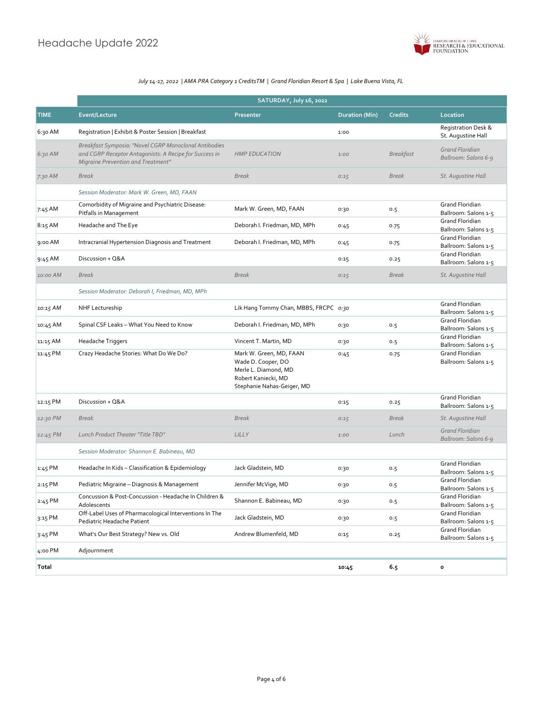

|             | SATURDAY, July 16, 2022                                                                                                                               |                                                                                                                            |                       |                  |                                                |
|-------------|-------------------------------------------------------------------------------------------------------------------------------------------------------|----------------------------------------------------------------------------------------------------------------------------|-----------------------|------------------|------------------------------------------------|
| <b>TIME</b> | <b>Event/Lecture</b>                                                                                                                                  | Presenter                                                                                                                  | <b>Duration (Min)</b> | <b>Credits</b>   | Location                                       |
| 6:30 AM     | Registration   Exhibit & Poster Session   Breakfast                                                                                                   |                                                                                                                            | 1:00                  |                  | Registration Desk &<br>St. Augustine Hall      |
| 6:30 AM     | Breakfast Symposia: "Novel CGRP Monoclonal Antibodies<br>and CGRP Receptor Antagonists: A Recipe for Success in<br>Migraine Prevention and Treatment" | <b>HMP EDUCATION</b>                                                                                                       | 1:00                  | <b>Breakfast</b> | <b>Grand Floridian</b><br>Ballroom: Salons 6-9 |
| $7:30$ AM   | <b>Break</b>                                                                                                                                          | <b>Break</b>                                                                                                               | 0:15                  | <b>Break</b>     | St. Augustine Hall                             |
|             | Session Moderator: Mark W. Green, MD, FAAN                                                                                                            |                                                                                                                            |                       |                  |                                                |
| 7:45 AM     | Comorbidity of Migraine and Psychiatric Disease:<br>Pitfalls in Management                                                                            | Mark W. Green, MD, FAAN                                                                                                    | 0:30                  | 0.5              | <b>Grand Floridian</b><br>Ballroom: Salons 1-5 |
| 8:15 AM     | Headache and The Eye                                                                                                                                  | Deborah I. Friedman, MD, MPh                                                                                               | 0:45                  | 0.75             | <b>Grand Floridian</b><br>Ballroom: Salons 1-5 |
| 9:00 AM     | Intracranial Hypertension Diagnosis and Treatment                                                                                                     | Deborah I. Friedman, MD, MPh                                                                                               | 0:45                  | 0.75             | <b>Grand Floridian</b><br>Ballroom: Salons 1-5 |
| 9:45 AM     | Discussion + Q&A                                                                                                                                      |                                                                                                                            | 0:15                  | 0.25             | <b>Grand Floridian</b><br>Ballroom: Salons 1-5 |
| 10:00 AM    | <b>Break</b>                                                                                                                                          | <b>Break</b>                                                                                                               | 0:15                  | <b>Break</b>     | St. Augustine Hall                             |
|             | Session Moderator: Deborah I, Friedman, MD, MPh                                                                                                       |                                                                                                                            |                       |                  |                                                |
| 10:15 AM    | NHF Lectureship                                                                                                                                       | Lik Hang Tommy Chan, MBBS, FRCPC 0:30                                                                                      |                       |                  | <b>Grand Floridian</b><br>Ballroom: Salons 1-5 |
| 10:45 AM    | Spinal CSF Leaks - What You Need to Know                                                                                                              | Deborah I. Friedman, MD, MPh                                                                                               | 0:30                  | 0.5              | <b>Grand Floridian</b><br>Ballroom: Salons 1-5 |
| 11:15 AM    | Headache Triggers                                                                                                                                     | Vincent T. Martin, MD                                                                                                      | 0:30                  | 0.5              | <b>Grand Floridian</b><br>Ballroom: Salons 1-5 |
| 11:45 PM    | Crazy Headache Stories: What Do We Do?                                                                                                                | Mark W. Green, MD, FAAN<br>Wade D. Cooper, DO<br>Merle L. Diamond, MD<br>Robert Kaniecki, MD<br>Stephanie Nahas-Geiger, MD | 0:45                  | 0.75             | <b>Grand Floridian</b><br>Ballroom: Salons 1-5 |
| 12:15 PM    | Discussion + Q&A                                                                                                                                      |                                                                                                                            | 0:15                  | 0.25             | <b>Grand Floridian</b><br>Ballroom: Salons 1-5 |
| 12:30 PM    | <b>Break</b>                                                                                                                                          | <b>Break</b>                                                                                                               | 0:15                  | <b>Break</b>     | St. Augustine Hall                             |
| 12:45 PM    | Lunch Product Theater "Title TBD"                                                                                                                     | LILLY                                                                                                                      | 1:00                  | Lunch            | Grand Floridian<br>Ballroom: Salons 6-9        |
|             | Session Moderator: Shannon E. Babineau, MD                                                                                                            |                                                                                                                            |                       |                  |                                                |
| 1:45 PM     | Headache In Kids - Classification & Epidemiology                                                                                                      | Jack Gladstein, MD                                                                                                         | 0:30                  | 0.5              | Grand Floridian<br>Ballroom: Salons 1-5        |
| 2:15 PM     | Pediatric Migraine - Diagnosis & Management                                                                                                           | Jennifer McVige, MD                                                                                                        | 0:30                  | 0.5              | <b>Grand Floridian</b><br>Ballroom: Salons 1-5 |
| 2:45 PM     | Concussion & Post-Concussion - Headache In Children &<br>Adolescents                                                                                  | Shannon E. Babineau, MD                                                                                                    | 0:30                  | 0.5              | <b>Grand Floridian</b><br>Ballroom: Salons 1-5 |
| 3:15 PM     | Off-Label Uses of Pharmacological Interventions In The<br>Pediatric Headache Patient                                                                  | Jack Gladstein, MD                                                                                                         | 0:30                  | 0.5              | Grand Floridian<br>Ballroom: Salons 1-5        |
| 3:45 PM     | What's Our Best Strategy? New vs. Old                                                                                                                 | Andrew Blumenfeld, MD                                                                                                      | 0:15                  | 0.25             | Grand Floridian<br>Ballroom: Salons 1-5        |
| 4:00 PM     | Adjournment                                                                                                                                           |                                                                                                                            |                       |                  |                                                |
| Total       |                                                                                                                                                       |                                                                                                                            | 10:45                 | 6.5              | $\mathbf{o}$                                   |